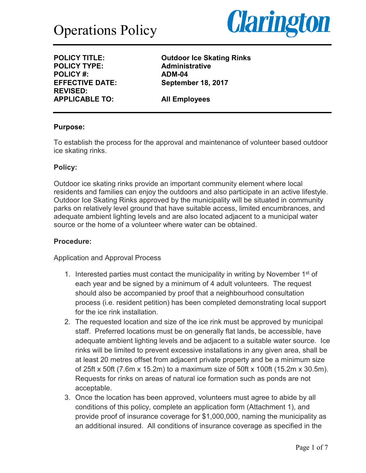

**POLICY TYPE: POLICY #: ADM-04 REVISED: APPLICABLE TO: All Employees**

**POLICY TITLE: Outdoor Ice Skating Rinks EFFECTIVE DATE: September 18, 2017**

#### **Purpose:**

To establish the process for the approval and maintenance of volunteer based outdoor ice skating rinks.

#### **Policy:**

Outdoor ice skating rinks provide an important community element where local residents and families can enjoy the outdoors and also participate in an active lifestyle. Outdoor Ice Skating Rinks approved by the municipality will be situated in community parks on relatively level ground that have suitable access, limited encumbrances, and adequate ambient lighting levels and are also located adjacent to a municipal water source or the home of a volunteer where water can be obtained.

#### **Procedure:**

Application and Approval Process

- 1. Interested parties must contact the municipality in writing by November  $1<sup>st</sup>$  of each year and be signed by a minimum of 4 adult volunteers. The request should also be accompanied by proof that a neighbourhood consultation process (i.e. resident petition) has been completed demonstrating local support for the ice rink installation.
- 2. The requested location and size of the ice rink must be approved by municipal staff. Preferred locations must be on generally flat lands, be accessible, have adequate ambient lighting levels and be adjacent to a suitable water source. Ice rinks will be limited to prevent excessive installations in any given area, shall be at least 20 metres offset from adjacent private property and be a minimum size of 25ft x 50ft (7.6m x 15.2m) to a maximum size of 50ft x 100ft (15.2m x 30.5m). Requests for rinks on areas of natural ice formation such as ponds are not acceptable.
- 3. Once the location has been approved, volunteers must agree to abide by all conditions of this policy, complete an application form (Attachment 1), and provide proof of insurance coverage for \$1,000,000, naming the municipality as an additional insured. All conditions of insurance coverage as specified in the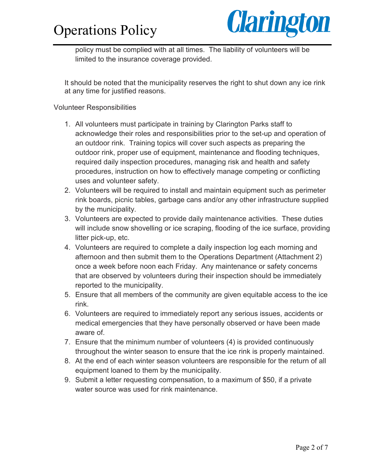# Operations Policy



policy must be complied with at all times. The liability of volunteers will be limited to the insurance coverage provided.

It should be noted that the municipality reserves the right to shut down any ice rink at any time for justified reasons.

#### Volunteer Responsibilities

- 1. All volunteers must participate in training by Clarington Parks staff to acknowledge their roles and responsibilities prior to the set-up and operation of an outdoor rink. Training topics will cover such aspects as preparing the outdoor rink, proper use of equipment, maintenance and flooding techniques, required daily inspection procedures, managing risk and health and safety procedures, instruction on how to effectively manage competing or conflicting uses and volunteer safety.
- 2. Volunteers will be required to install and maintain equipment such as perimeter rink boards, picnic tables, garbage cans and/or any other infrastructure supplied by the municipality.
- 3. Volunteers are expected to provide daily maintenance activities. These duties will include snow shovelling or ice scraping, flooding of the ice surface, providing litter pick-up, etc.
- 4. Volunteers are required to complete a daily inspection log each morning and afternoon and then submit them to the Operations Department (Attachment 2) once a week before noon each Friday. Any maintenance or safety concerns that are observed by volunteers during their inspection should be immediately reported to the municipality.
- 5. Ensure that all members of the community are given equitable access to the ice rink.
- 6. Volunteers are required to immediately report any serious issues, accidents or medical emergencies that they have personally observed or have been made aware of.
- 7. Ensure that the minimum number of volunteers (4) is provided continuously throughout the winter season to ensure that the ice rink is properly maintained.
- 8. At the end of each winter season volunteers are responsible for the return of all equipment loaned to them by the municipality.
- 9. Submit a letter requesting compensation, to a maximum of \$50, if a private water source was used for rink maintenance.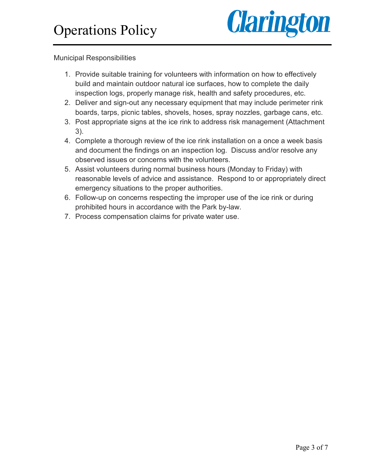

Municipal Responsibilities

- 1. Provide suitable training for volunteers with information on how to effectively build and maintain outdoor natural ice surfaces, how to complete the daily inspection logs, properly manage risk, health and safety procedures, etc.
- 2. Deliver and sign-out any necessary equipment that may include perimeter rink boards, tarps, picnic tables, shovels, hoses, spray nozzles, garbage cans, etc.
- 3. Post appropriate signs at the ice rink to address risk management (Attachment 3).
- 4. Complete a thorough review of the ice rink installation on a once a week basis and document the findings on an inspection log. Discuss and/or resolve any observed issues or concerns with the volunteers.
- 5. Assist volunteers during normal business hours (Monday to Friday) with reasonable levels of advice and assistance. Respond to or appropriately direct emergency situations to the proper authorities.
- 6. Follow-up on concerns respecting the improper use of the ice rink or during prohibited hours in accordance with the Park by-law.
- 7. Process compensation claims for private water use.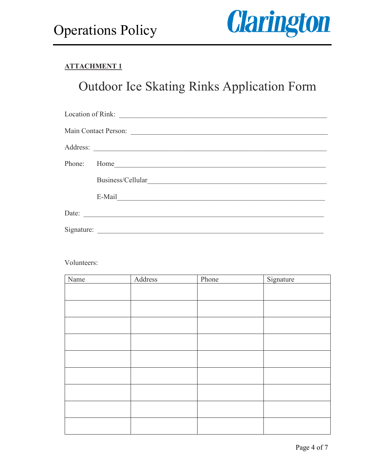

### **ATTACHMENT 1**

# Outdoor Ice Skating Rinks Application Form

| Main Contact Person: |                   |  |  |  |
|----------------------|-------------------|--|--|--|
|                      | Address:          |  |  |  |
| Phone:               |                   |  |  |  |
|                      | Business/Cellular |  |  |  |
|                      |                   |  |  |  |
| Date:                |                   |  |  |  |
|                      |                   |  |  |  |

Volunteers:

| Name | Address | Phone | Signature |
|------|---------|-------|-----------|
|      |         |       |           |
|      |         |       |           |
|      |         |       |           |
|      |         |       |           |
|      |         |       |           |
|      |         |       |           |
|      |         |       |           |
|      |         |       |           |
|      |         |       |           |
|      |         |       |           |
|      |         |       |           |
|      |         |       |           |
|      |         |       |           |
|      |         |       |           |
|      |         |       |           |
|      |         |       |           |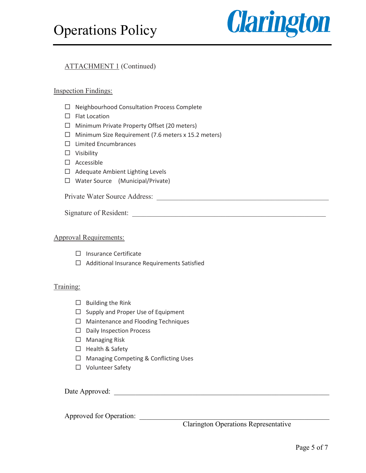

#### ATTACHMENT 1 (Continued)

#### Inspection Findings:

- $\Box$  Neighbourhood Consultation Process Complete
- $\Box$  Flat Location
- $\Box$  Minimum Private Property Offset (20 meters)
- $\Box$  Minimum Size Requirement (7.6 meters x 15.2 meters)
- $\square$  Limited Encumbrances
- $\square$  Visibility
- $\Box$  Accessible
- $\Box$  Adequate Ambient Lighting Levels
- $\Box$  Water Source (Municipal/Private)

Private Water Source Address: \_\_\_\_\_\_\_\_\_\_\_\_\_\_\_\_\_\_\_\_\_\_\_\_\_\_\_\_\_\_\_\_\_\_\_\_\_\_\_\_\_\_\_\_\_\_\_\_

Signature of Resident:

#### Approval Requirements:

- $\Box$  Insurance Certificate
- $\Box$  Additional Insurance Requirements Satisfied

#### Training:

- $\Box$  Building the Rink
- $\square$  Supply and Proper Use of Equipment
- $\Box$  Maintenance and Flooding Techniques
- $\square$  Daily Inspection Process
- $\square$  Managing Risk
- $\Box$  Health & Safety
- □ Managing Competing & Conflicting Uses
- □ Volunteer Safety

Date Approved: \_\_\_\_\_\_\_\_\_\_\_\_\_\_\_\_\_\_\_\_\_\_\_\_\_\_\_\_\_\_\_\_\_\_\_\_\_\_\_\_\_\_\_\_\_\_\_\_\_\_\_\_\_\_\_\_\_\_\_\_

Approved for Operation:

Clarington Operations Representative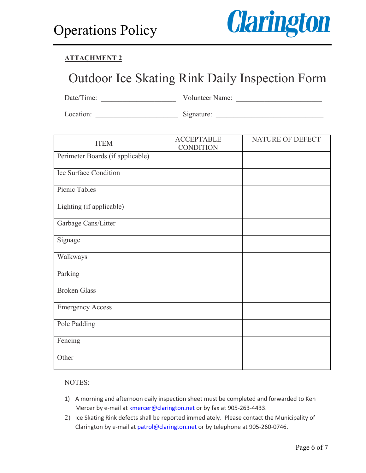

### **ATTACHMENT 2**

# Outdoor Ice Skating Rink Daily Inspection Form

Date/Time: \_\_\_\_\_\_\_\_\_\_\_\_\_\_\_\_\_\_\_\_\_ Volunteer Name: \_\_\_\_\_\_\_\_\_\_\_\_\_\_\_\_\_\_\_\_\_\_\_\_

Location: \_\_\_\_\_\_\_\_\_\_\_\_\_\_\_\_\_\_\_\_\_\_\_ Signature: \_\_\_\_\_\_\_\_\_\_\_\_\_\_\_\_\_\_\_\_\_\_\_\_\_\_\_\_\_\_

| <b>ITEM</b>                      | <b>ACCEPTABLE</b><br><b>CONDITION</b> | NATURE OF DEFECT |
|----------------------------------|---------------------------------------|------------------|
| Perimeter Boards (if applicable) |                                       |                  |
| Ice Surface Condition            |                                       |                  |
| Picnic Tables                    |                                       |                  |
| Lighting (if applicable)         |                                       |                  |
| Garbage Cans/Litter              |                                       |                  |
| Signage                          |                                       |                  |
| Walkways                         |                                       |                  |
| Parking                          |                                       |                  |
| <b>Broken Glass</b>              |                                       |                  |
| <b>Emergency Access</b>          |                                       |                  |
| Pole Padding                     |                                       |                  |
| Fencing                          |                                       |                  |
| Other                            |                                       |                  |

NOTES:

- 1) A morning and afternoon daily inspection sheet must be completed and forwarded to Ken Mercer by e-mail at **kmercer@clarington.net** or by fax at 905-263-4433.
- 2) Ice Skating Rink defects shall be reported immediately. Please contact the Municipality of Clarington by e-mail at patrol@clarington.net or by telephone at 905-260-0746.